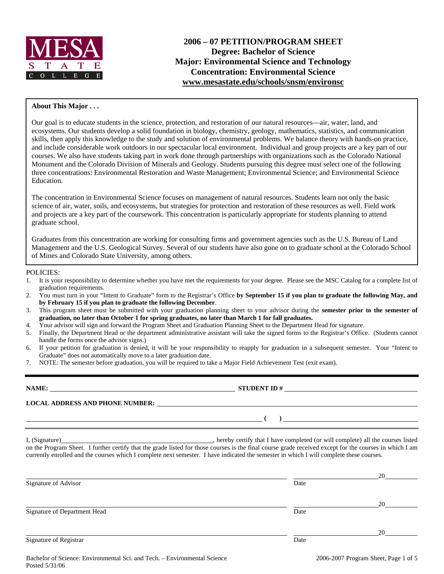

### **About This Major . . .**

Our goal is to educate students in the science, protection, and restoration of our natural resources—air, water, land, and ecosystems. Our students develop a solid foundation in biology, chemistry, geology, mathematics, statistics, and communication skills, then apply this knowledge to the study and solution of environmental problems. We balance theory with hands-on practice, and include considerable work outdoors in our spectacular local environment. Individual and group projects are a key part of our courses. We also have students taking part in work done through partnerships with organizations such as the Colorado National Monument and the Colorado Division of Minerals and Geology. Students pursuing this degree must select one of the following three concentrations: Environmental Restoration and Waste Management; Environmental Science; and Environmental Science Education.

The concentration in Environmental Science focuses on management of natural resources. Students learn not only the basic science of air, water, soils, and ecosystems, but strategies for protection and restoration of these resources as well. Field work and projects are a key part of the coursework. This concentration is particularly appropriate for students planning to attend graduate school.

Graduates from this concentration are working for consulting firms and government agencies such as the U.S. Bureau of Land Management and the U.S. Geological Survey. Several of our students have also gone on to graduate school at the Colorado School of Mines and Colorado State University, among others.

#### POLICIES:

- 1. It is your responsibility to determine whether you have met the requirements for your degree. Please see the MSC Catalog for a complete list of graduation requirements.
- 2. You must turn in your "Intent to Graduate" form to the Registrar's Office **by September 15 if you plan to graduate the following May, and by February 15 if you plan to graduate the following December**.
- 3. This program sheet must be submitted with your graduation planning sheet to your advisor during the **semester prior to the semester of graduation, no later than October 1 for spring graduates, no later than March 1 for fall graduates.**
- 4. Your advisor will sign and forward the Program Sheet and Graduation Planning Sheet to the Department Head for signature.
- 5. Finally, the Department Head or the department administrative assistant will take the signed forms to the Registrar's Office. (Students cannot handle the forms once the advisor signs.)
- 6. If your petition for graduation is denied, it will be your responsibility to reapply for graduation in a subsequent semester. Your "Intent to Graduate" does not automatically move to a later graduation date.
- 7. NOTE: The semester before graduation, you will be required to take a Major Field Achievement Test (exit exam).

**NAME: STUDENT ID #** 

**LOCAL ADDRESS AND PHONE NUMBER:**

 **( )** 

I, (Signature) , hereby certify that I have completed (or will complete) all the courses listed on the Program Sheet. I further certify that the grade listed for those courses is the final course grade received except for the courses in which I am currently enrolled and the courses which I complete next semester. I have indicated the semester in which I will complete these courses.

|                              |      | 20 |
|------------------------------|------|----|
| Signature of Advisor         | Date |    |
|                              |      | 20 |
| Signature of Department Head | Date |    |
|                              |      | 20 |
| Signature of Registrar       | Date |    |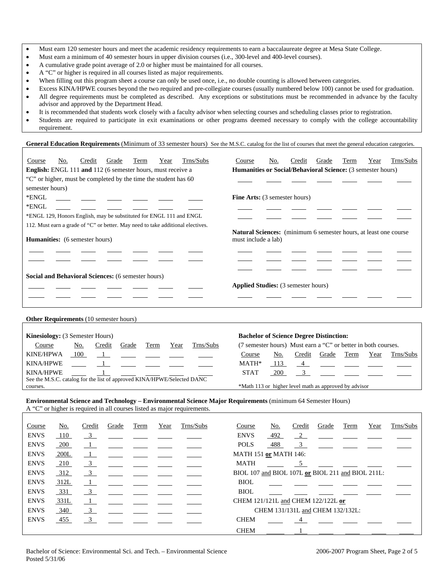- Must earn 120 semester hours and meet the academic residency requirements to earn a baccalaureate degree at Mesa State College.
- Must earn a minimum of 40 semester hours in upper division courses (i.e., 300-level and 400-level courses).
- A cumulative grade point average of 2.0 or higher must be maintained for all courses.
- A "C" or higher is required in all courses listed as major requirements.
- When filling out this program sheet a course can only be used once, i.e., no double counting is allowed between categories.
- Excess KINA/HPWE courses beyond the two required and pre-collegiate courses (usually numbered below 100) cannot be used for graduation.
- All degree requirements must be completed as described. Any exceptions or substitutions must be recommended in advance by the faculty advisor and approved by the Department Head.
- It is recommended that students work closely with a faculty advisor when selecting courses and scheduling classes prior to registration.
- Students are required to participate in exit examinations or other programs deemed necessary to comply with the college accountability requirement.

### General Education Requirements (Minimum of 33 semester hours) See the M.S.C. catalog for the list of courses that meet the general education categories.

| Course                                 | No.                                                         | Credit | Grade                                  | Term                                                                | Year | Trns/Subs                                                                       | Course                                                                  | No. | Credit | Grade                                                         | Term | Year | Trns/Subs |
|----------------------------------------|-------------------------------------------------------------|--------|----------------------------------------|---------------------------------------------------------------------|------|---------------------------------------------------------------------------------|-------------------------------------------------------------------------|-----|--------|---------------------------------------------------------------|------|------|-----------|
|                                        | English: ENGL 111 and 112 (6 semester hours, must receive a |        |                                        |                                                                     |      |                                                                                 |                                                                         |     |        | Humanities or Social/Behavioral Science: (3 semester hours)   |      |      |           |
|                                        |                                                             |        |                                        | "C" or higher, must be completed by the time the student has 60     |      |                                                                                 |                                                                         |     |        |                                                               |      |      |           |
| semester hours)                        |                                                             |        |                                        |                                                                     |      |                                                                                 |                                                                         |     |        |                                                               |      |      |           |
| *ENGL                                  |                                                             |        | $\overline{\phantom{iiiiiiiiiiiiiii}}$ |                                                                     |      |                                                                                 | <b>Fine Arts:</b> (3 semester hours)                                    |     |        |                                                               |      |      |           |
| *ENGL                                  |                                                             |        |                                        |                                                                     |      |                                                                                 |                                                                         |     |        |                                                               |      |      |           |
|                                        |                                                             |        |                                        | *ENGL 129, Honors English, may be substituted for ENGL 111 and ENGL |      |                                                                                 |                                                                         |     |        |                                                               |      |      |           |
|                                        |                                                             |        |                                        |                                                                     |      | 112. Must earn a grade of "C" or better. May need to take additional electives. |                                                                         |     |        |                                                               |      |      |           |
|                                        |                                                             |        |                                        |                                                                     |      |                                                                                 | <b>Natural Sciences:</b> (minimum 6 semester hours, at least one course |     |        |                                                               |      |      |           |
| <b>Humanities:</b> (6 semester hours)  |                                                             |        |                                        |                                                                     |      |                                                                                 | must include a lab)                                                     |     |        |                                                               |      |      |           |
|                                        |                                                             |        |                                        |                                                                     |      |                                                                                 |                                                                         |     |        |                                                               |      |      |           |
|                                        |                                                             |        |                                        |                                                                     |      |                                                                                 |                                                                         |     |        |                                                               |      |      |           |
|                                        |                                                             |        |                                        | Social and Behavioral Sciences: (6 semester hours)                  |      |                                                                                 |                                                                         |     |        |                                                               |      |      |           |
|                                        |                                                             |        |                                        |                                                                     |      |                                                                                 | <b>Applied Studies:</b> (3 semester hours)                              |     |        |                                                               |      |      |           |
|                                        |                                                             |        |                                        |                                                                     |      |                                                                                 |                                                                         |     |        |                                                               |      |      |           |
|                                        |                                                             |        |                                        |                                                                     |      |                                                                                 |                                                                         |     |        |                                                               |      |      |           |
|                                        |                                                             |        |                                        |                                                                     |      |                                                                                 |                                                                         |     |        |                                                               |      |      |           |
| Other Requirements (10 semester hours) |                                                             |        |                                        |                                                                     |      |                                                                                 |                                                                         |     |        |                                                               |      |      |           |
|                                        |                                                             |        |                                        |                                                                     |      |                                                                                 |                                                                         |     |        |                                                               |      |      |           |
| <b>Kinesiology:</b> (3 Semester Hours) |                                                             |        |                                        |                                                                     |      |                                                                                 |                                                                         |     |        | <b>Bachelor of Science Degree Distinction:</b>                |      |      |           |
| Course                                 |                                                             | No.    | Credit                                 | Grade                                                               | Term | Trns/Subs<br>Year                                                               |                                                                         |     |        | (7 semester hours) Must earn a "C" or better in both courses. |      |      |           |
| <b>KINE/HPWA</b>                       |                                                             | 100    |                                        |                                                                     |      |                                                                                 | Course                                                                  | No. | Credit | Grade                                                         | Term | Year | Trns/Subs |

KINA/HPWE 1 STAT 200 See the M.S.C. catalog for the list of approved KINA/HPWE/Selected DANC courses. \*Math 113 or higher level math as approved by advisor

KINA/HPWE  $\frac{1}{\sqrt{1-\frac{1}{\sqrt{1-\frac{1}{\sqrt{1-\frac{1}{\sqrt{1-\frac{1}{\sqrt{1-\frac{1}{\sqrt{1-\frac{1}{\sqrt{1-\frac{1}{\sqrt{1-\frac{1}{\sqrt{1-\frac{1}{\sqrt{1-\frac{1}{\sqrt{1-\frac{1}{\sqrt{1-\frac{1}{\sqrt{1-\frac{1}{\sqrt{1-\frac{1}{\sqrt{1-\frac{1}{\sqrt{1-\frac{1}{\sqrt{1-\frac{1}{\sqrt{1-\frac{1}{\sqrt{1-\frac{1}{\sqrt{1-\frac{1}{\sqrt{1-\frac{1}{\sqrt{1-\frac{1}{\sqrt{1-\frac{$ 

**Environmental Science and Technology – Environmental Science Major Requirements** (minimum 64 Semester Hours) A "C" or higher is required in all courses listed as major requirements.

| Course      | No.    | Credit                  | Grade | Term                                                                                                                                                                                                                                 | Year | Trns/Subs | Trns/Subs<br>No.<br>Year<br>Credit<br>Grade<br>Course<br>Term                               |
|-------------|--------|-------------------------|-------|--------------------------------------------------------------------------------------------------------------------------------------------------------------------------------------------------------------------------------------|------|-----------|---------------------------------------------------------------------------------------------|
| <b>ENVS</b> | 110    | $\overline{\mathbf{3}}$ |       | <u> المستقل المستقل المستقل</u>                                                                                                                                                                                                      |      |           | <b>ENVS</b><br>492<br>$\frac{2}{2}$                                                         |
| <b>ENVS</b> | $-200$ |                         |       |                                                                                                                                                                                                                                      |      |           | 488<br>$\frac{3}{2}$ $\frac{1}{2}$ $\frac{1}{2}$ $\frac{1}{2}$ $\frac{1}{2}$<br><b>POLS</b> |
| <b>ENVS</b> | 200L   |                         |       |                                                                                                                                                                                                                                      |      |           | <b>MATH 151 or MATH 146:</b>                                                                |
| <b>ENVS</b> | 210    | $\overline{\mathbf{3}}$ |       |                                                                                                                                                                                                                                      |      |           | MATH<br>$5\overline{)}$                                                                     |
| <b>ENVS</b> | 312    | $\overline{\mathbf{3}}$ |       |                                                                                                                                                                                                                                      |      |           | BIOL 107 and BIOL 107L or BIOL 211 and BIOL 211L:                                           |
| <b>ENVS</b> | 312L   |                         |       |                                                                                                                                                                                                                                      |      |           | <b>BIOL</b>                                                                                 |
| <b>ENVS</b> | 331    | $\frac{3}{2}$           |       |                                                                                                                                                                                                                                      |      |           | <b>BIOL</b>                                                                                 |
| <b>ENVS</b> | 331L   |                         |       |                                                                                                                                                                                                                                      |      |           | CHEM 121/121L and CHEM 122/122L or                                                          |
| <b>ENVS</b> | 340    | $\overline{\mathbf{3}}$ |       | <u> 1988 - John Harry Harry Harry Harry Harry Harry Harry Harry Harry Harry Harry Harry Harry Harry Harry Harry Harry Harry Harry Harry Harry Harry Harry Harry Harry Harry Harry Harry Harry Harry Harry Harry Harry Harry Harr</u> |      |           | CHEM 131/131L and CHEM 132/132L:                                                            |
| <b>ENVS</b> | 455    | 3                       |       |                                                                                                                                                                                                                                      |      |           | <b>CHEM</b><br>$\overline{4}$                                                               |
|             |        |                         |       |                                                                                                                                                                                                                                      |      |           | <b>CHEM</b>                                                                                 |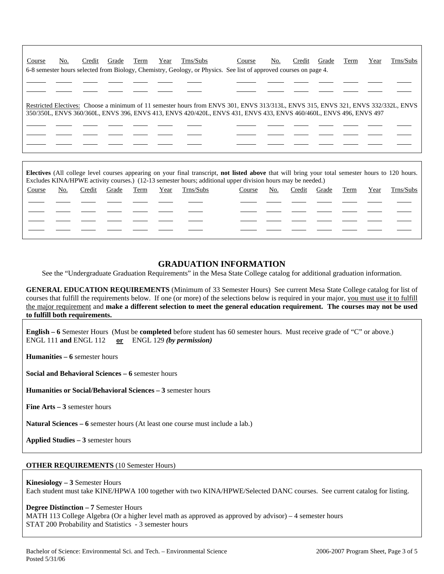| Course | No. | Credit | Grade | Term | Year | Trns/Subs | Course                                                                                                                                                                                                                                                 | No. | Credit | Grade | Term | Year | Trns/Subs |
|--------|-----|--------|-------|------|------|-----------|--------------------------------------------------------------------------------------------------------------------------------------------------------------------------------------------------------------------------------------------------------|-----|--------|-------|------|------|-----------|
|        |     |        |       |      |      |           | 6-8 semester hours selected from Biology, Chemistry, Geology, or Physics. See list of approved courses on page 4.                                                                                                                                      |     |        |       |      |      |           |
|        |     |        |       |      |      |           |                                                                                                                                                                                                                                                        |     |        |       |      |      |           |
|        |     |        |       |      |      |           |                                                                                                                                                                                                                                                        |     |        |       |      |      |           |
|        |     |        |       |      |      |           | Restricted Electives: Choose a minimum of 11 semester hours from ENVS 301, ENVS 313/313L, ENVS 315, ENVS 321, ENVS 332/332L, ENVS<br>350/350L, ENVS 360/360L, ENVS 396, ENVS 413, ENVS 420/420L, ENVS 431, ENVS 433, ENVS 460/460L, ENVS 496, ENVS 497 |     |        |       |      |      |           |
|        |     |        |       |      |      |           |                                                                                                                                                                                                                                                        |     |        |       |      |      |           |
|        |     |        |       |      |      |           |                                                                                                                                                                                                                                                        |     |        |       |      |      |           |

**Electives** (All college level courses appearing on your final transcript, **not listed above** that will bring your total semester hours to 120 hours. Excludes KINA/HPWE activity courses.) (12-13 semester hours; additional upper division hours may be needed.)

| Trns/Subs  |  |  |
|------------|--|--|
| Year       |  |  |
| Term       |  |  |
| Grade      |  |  |
| Credit     |  |  |
| <u>No.</u> |  |  |
| Course     |  |  |
| Trns/Subs  |  |  |
| Year       |  |  |
| Term       |  |  |
| Grade      |  |  |
| Credit     |  |  |
| No.        |  |  |
| Course     |  |  |

## **GRADUATION INFORMATION**

See the "Undergraduate Graduation Requirements" in the Mesa State College catalog for additional graduation information.

**GENERAL EDUCATION REQUIREMENTS** (Minimum of 33 Semester Hours) See current Mesa State College catalog for list of courses that fulfill the requirements below. If one (or more) of the selections below is required in your major, you must use it to fulfill the major requirement and **make a different selection to meet the general education requirement. The courses may not be used to fulfill both requirements.**

**English – 6** Semester Hours (Must be **completed** before student has 60 semester hours. Must receive grade of "C" or above.) ENGL 111 **and** ENGL 112 **or** ENGL 129 *(by permission)*

**Humanities – 6** semester hours

**Social and Behavioral Sciences – 6** semester hours

**Humanities or Social/Behavioral Sciences – 3** semester hours

**Fine Arts – 3** semester hours

**Natural Sciences – 6** semester hours (At least one course must include a lab.)

**Applied Studies – 3** semester hours

### **OTHER REQUIREMENTS** (10 Semester Hours)

**Kinesiology – 3** Semester Hours

Each student must take KINE/HPWA 100 together with two KINA/HPWE/Selected DANC courses. See current catalog for listing.

#### **Degree Distinction – 7** Semester Hours

MATH 113 College Algebra (Or a higher level math as approved as approved by advisor) – 4 semester hours STAT 200 Probability and Statistics - 3 semester hours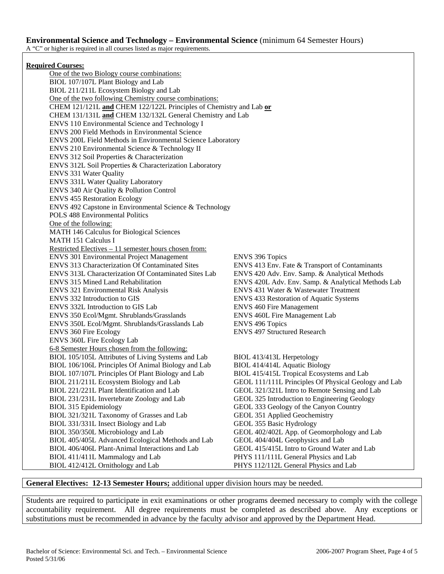A "C" or higher is required in all courses listed as major requirements.

### **Required Courses:**

 One of the two Biology course combinations: BIOL 107/107L Plant Biology and Lab BIOL 211/211L Ecosystem Biology and Lab One of the two following Chemistry course combinations: CHEM 121/121L **and** CHEM 122/122L Principles of Chemistry and Lab **or** CHEM 131/131L **and** CHEM 132/132L General Chemistry and Lab ENVS 110 Environmental Science and Technology I ENVS 200 Field Methods in Environmental Science ENVS 200L Field Methods in Environmental Science Laboratory ENVS 210 Environmental Science & Technology II ENVS 312 Soil Properties & Characterization ENVS 312L Soil Properties & Characterization Laboratory ENVS 331 Water Quality ENVS 331L Water Quality Laboratory ENVS 340 Air Quality & Pollution Control ENVS 455 Restoration Ecology ENVS 492 Capstone in Environmental Science & Technology POLS 488 Environmental Politics One of the following: MATH 146 Calculus for Biological Sciences MATH 151 Calculus I Restricted Electives – 11 semester hours chosen from: ENVS 301 Environmental Project Management ENVS 396 Topics ENVS 313 Characterization Of Contaminated Sites ENVS 413 Env. Fate & Transport of Contaminants ENVS 313L Characterization Of Contaminated Sites Lab ENVS 420 Adv. Env. Samp. & Analytical Methods ENVS 315 Mined Land Rehabilitation ENVS 420L Adv. Env. Samp. & Analytical Methods Lab ENVS 321 Environmental Risk Analysis ENVS 431 Water & Wastewater Treatment ENVS 332 Introduction to GIS ENVS 433 Restoration of Aquatic Systems ENVS 332L Introduction to GIS Lab ENVS 460 Fire Management ENVS 350 Ecol/Mgmt. Shrublands/Grasslands ENVS 460L Fire Management Lab ENVS 350L Ecol/Mgmt. Shrublands/Grasslands Lab ENVS 496 Topics ENVS 360 Fire Ecology ENVS 497 Structured Research ENVS 360L Fire Ecology Lab 6-8 Semester Hours chosen from the following: BIOL 105/105L Attributes of Living Systems and Lab BIOL 413/413L Herpetology BIOL 106/106L Principles Of Animal Biology and Lab BIOL 414/414L Aquatic Biology BIOL 107/107L Principles Of Plant Biology and Lab BIOL 415/415L Tropical Ecosystems and Lab BIOL 211/211L Ecosystem Biology and Lab GEOL 111/111L Principles Of Physical Geology and Lab BIOL 221/221L Plant Identification and Lab GEOL 321/321L Intro to Remote Sensing and Lab BIOL 231/231L Invertebrate Zoology and Lab GEOL 325 Introduction to Engineering Geology BIOL 315 Epidemiology GEOL 333 Geology of the Canyon Country BIOL 321/321L Taxonomy of Grasses and Lab GEOL 351 Applied Geochemistry BIOL 331/331L Insect Biology and Lab GEOL 355 Basic Hydrology BIOL 350/350L Microbiology and Lab GEOL 402/402L App. of Geomorphology and Lab BIOL 405/405L Advanced Ecological Methods and Lab GEOL 404/404L Geophysics and Lab BIOL 406/406L Plant-Animal Interactions and Lab GEOL 415/415L Intro to Ground Water and Lab BIOL 411/411L Mammalogy and Lab PHYS 111/111L General Physics and Lab BIOL 412/412L Ornithology and Lab PHYS 112/112L General Physics and Lab

### **General Electives: 12-13 Semester Hours;** additional upper division hours may be needed.

Students are required to participate in exit examinations or other programs deemed necessary to comply with the college accountability requirement. All degree requirements must be completed as described above. Any exceptions or substitutions must be recommended in advance by the faculty advisor and approved by the Department Head.